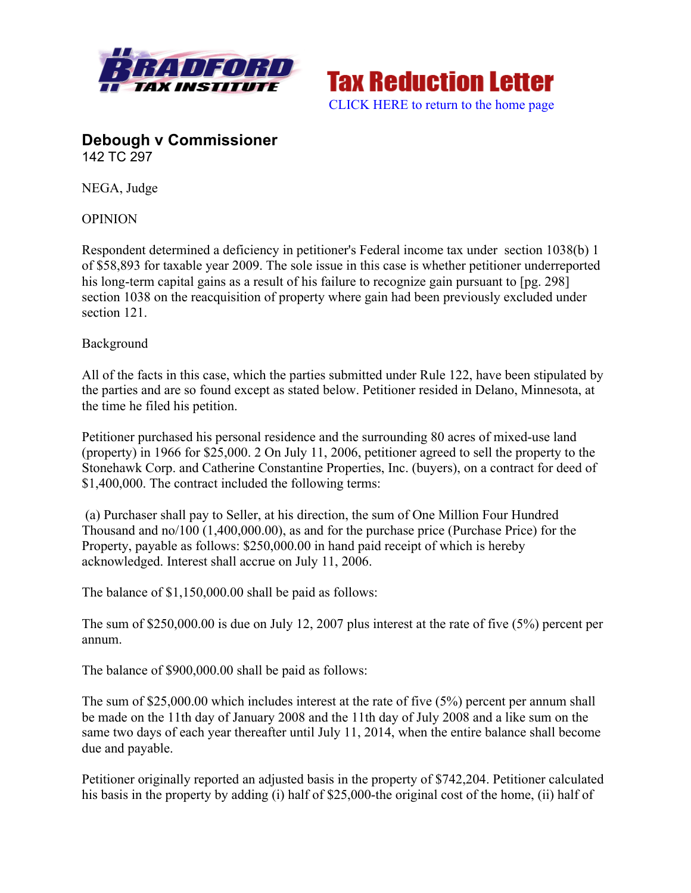



# **Debough v Commissioner** 142 TC 297

NEGA, Judge

OPINION

Respondent determined a deficiency in petitioner's Federal income tax under section 1038(b) 1 of \$58,893 for taxable year 2009. The sole issue in this case is whether petitioner underreported his long-term capital gains as a result of his failure to recognize gain pursuant to [pg. 298] section 1038 on the reacquisition of property where gain had been previously excluded under section 121.

#### Background

All of the facts in this case, which the parties submitted under Rule 122, have been stipulated by the parties and are so found except as stated below. Petitioner resided in Delano, Minnesota, at the time he filed his petition.

Petitioner purchased his personal residence and the surrounding 80 acres of mixed-use land (property) in 1966 for \$25,000. 2 On July 11, 2006, petitioner agreed to sell the property to the Stonehawk Corp. and Catherine Constantine Properties, Inc. (buyers), on a contract for deed of \$1,400,000. The contract included the following terms:

(a) Purchaser shall pay to Seller, at his direction, the sum of One Million Four Hundred Thousand and no/100 (1,400,000.00), as and for the purchase price (Purchase Price) for the Property, payable as follows: \$250,000.00 in hand paid receipt of which is hereby acknowledged. Interest shall accrue on July 11, 2006.

The balance of \$1,150,000.00 shall be paid as follows:

The sum of \$250,000.00 is due on July 12, 2007 plus interest at the rate of five (5%) percent per annum.

The balance of \$900,000.00 shall be paid as follows:

The sum of \$25,000.00 which includes interest at the rate of five (5%) percent per annum shall be made on the 11th day of January 2008 and the 11th day of July 2008 and a like sum on the same two days of each year thereafter until July 11, 2014, when the entire balance shall become due and payable.

Petitioner originally reported an adjusted basis in the property of \$742,204. Petitioner calculated his basis in the property by adding (i) half of \$25,000-the original cost of the home, (ii) half of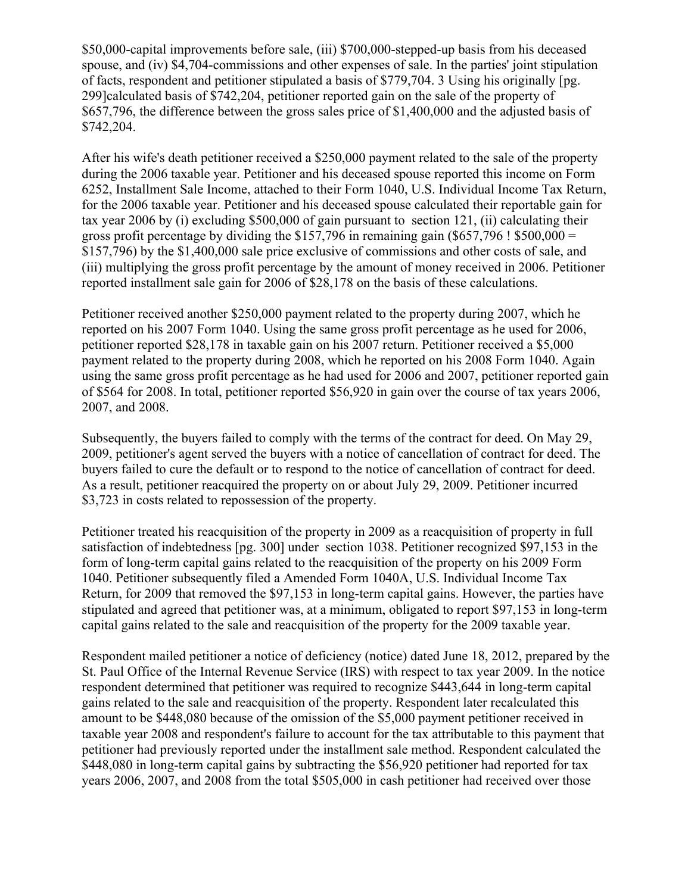\$50,000-capital improvements before sale, (iii) \$700,000-stepped-up basis from his deceased spouse, and (iv) \$4,704-commissions and other expenses of sale. In the parties' joint stipulation of facts, respondent and petitioner stipulated a basis of \$779,704. 3 Using his originally [pg. 299]calculated basis of \$742,204, petitioner reported gain on the sale of the property of \$657,796, the difference between the gross sales price of \$1,400,000 and the adjusted basis of \$742,204.

After his wife's death petitioner received a \$250,000 payment related to the sale of the property during the 2006 taxable year. Petitioner and his deceased spouse reported this income on Form 6252, Installment Sale Income, attached to their Form 1040, U.S. Individual Income Tax Return, for the 2006 taxable year. Petitioner and his deceased spouse calculated their reportable gain for tax year 2006 by (i) excluding \$500,000 of gain pursuant to section 121, (ii) calculating their gross profit percentage by dividing the \$157,796 in remaining gain  $(\$657,796$  ! \$500,000 = \$157,796) by the \$1,400,000 sale price exclusive of commissions and other costs of sale, and (iii) multiplying the gross profit percentage by the amount of money received in 2006. Petitioner reported installment sale gain for 2006 of \$28,178 on the basis of these calculations.

Petitioner received another \$250,000 payment related to the property during 2007, which he reported on his 2007 Form 1040. Using the same gross profit percentage as he used for 2006, petitioner reported \$28,178 in taxable gain on his 2007 return. Petitioner received a \$5,000 payment related to the property during 2008, which he reported on his 2008 Form 1040. Again using the same gross profit percentage as he had used for 2006 and 2007, petitioner reported gain of \$564 for 2008. In total, petitioner reported \$56,920 in gain over the course of tax years 2006, 2007, and 2008.

Subsequently, the buyers failed to comply with the terms of the contract for deed. On May 29, 2009, petitioner's agent served the buyers with a notice of cancellation of contract for deed. The buyers failed to cure the default or to respond to the notice of cancellation of contract for deed. As a result, petitioner reacquired the property on or about July 29, 2009. Petitioner incurred \$3,723 in costs related to repossession of the property.

Petitioner treated his reacquisition of the property in 2009 as a reacquisition of property in full satisfaction of indebtedness [pg. 300] under section 1038. Petitioner recognized \$97,153 in the form of long-term capital gains related to the reacquisition of the property on his 2009 Form 1040. Petitioner subsequently filed a Amended Form 1040A, U.S. Individual Income Tax Return, for 2009 that removed the \$97,153 in long-term capital gains. However, the parties have stipulated and agreed that petitioner was, at a minimum, obligated to report \$97,153 in long-term capital gains related to the sale and reacquisition of the property for the 2009 taxable year.

Respondent mailed petitioner a notice of deficiency (notice) dated June 18, 2012, prepared by the St. Paul Office of the Internal Revenue Service (IRS) with respect to tax year 2009. In the notice respondent determined that petitioner was required to recognize \$443,644 in long-term capital gains related to the sale and reacquisition of the property. Respondent later recalculated this amount to be \$448,080 because of the omission of the \$5,000 payment petitioner received in taxable year 2008 and respondent's failure to account for the tax attributable to this payment that petitioner had previously reported under the installment sale method. Respondent calculated the \$448,080 in long-term capital gains by subtracting the \$56,920 petitioner had reported for tax years 2006, 2007, and 2008 from the total \$505,000 in cash petitioner had received over those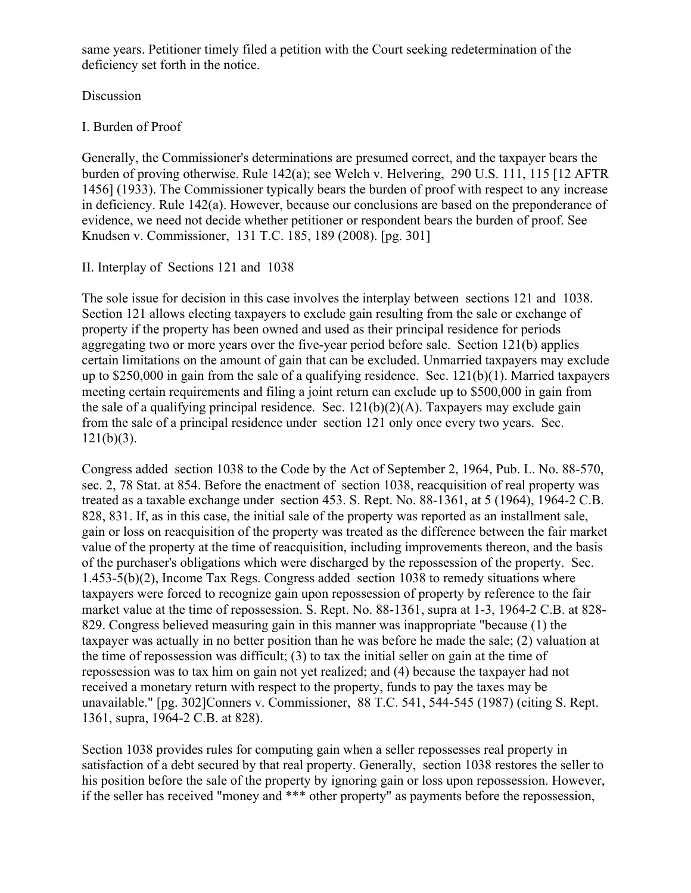same years. Petitioner timely filed a petition with the Court seeking redetermination of the deficiency set forth in the notice.

## Discussion

## I. Burden of Proof

Generally, the Commissioner's determinations are presumed correct, and the taxpayer bears the burden of proving otherwise. Rule 142(a); see Welch v. Helvering, 290 U.S. 111, 115 [12 AFTR 1456] (1933). The Commissioner typically bears the burden of proof with respect to any increase in deficiency. Rule 142(a). However, because our conclusions are based on the preponderance of evidence, we need not decide whether petitioner or respondent bears the burden of proof. See Knudsen v. Commissioner, 131 T.C. 185, 189 (2008). [pg. 301]

#### II. Interplay of Sections 121 and 1038

The sole issue for decision in this case involves the interplay between sections 121 and 1038. Section 121 allows electing taxpayers to exclude gain resulting from the sale or exchange of property if the property has been owned and used as their principal residence for periods aggregating two or more years over the five-year period before sale. Section 121(b) applies certain limitations on the amount of gain that can be excluded. Unmarried taxpayers may exclude up to \$250,000 in gain from the sale of a qualifying residence. Sec. 121(b)(1). Married taxpayers meeting certain requirements and filing a joint return can exclude up to \$500,000 in gain from the sale of a qualifying principal residence. Sec.  $121(b)(2)(A)$ . Taxpayers may exclude gain from the sale of a principal residence under section 121 only once every two years. Sec.  $121(b)(3)$ .

Congress added section 1038 to the Code by the Act of September 2, 1964, Pub. L. No. 88-570, sec. 2, 78 Stat. at 854. Before the enactment of section 1038, reacquisition of real property was treated as a taxable exchange under section 453. S. Rept. No. 88-1361, at 5 (1964), 1964-2 C.B. 828, 831. If, as in this case, the initial sale of the property was reported as an installment sale, gain or loss on reacquisition of the property was treated as the difference between the fair market value of the property at the time of reacquisition, including improvements thereon, and the basis of the purchaser's obligations which were discharged by the repossession of the property. Sec. 1.453-5(b)(2), Income Tax Regs. Congress added section 1038 to remedy situations where taxpayers were forced to recognize gain upon repossession of property by reference to the fair market value at the time of repossession. S. Rept. No. 88-1361, supra at 1-3, 1964-2 C.B. at 828- 829. Congress believed measuring gain in this manner was inappropriate "because (1) the taxpayer was actually in no better position than he was before he made the sale; (2) valuation at the time of repossession was difficult; (3) to tax the initial seller on gain at the time of repossession was to tax him on gain not yet realized; and (4) because the taxpayer had not received a monetary return with respect to the property, funds to pay the taxes may be unavailable." [pg. 302]Conners v. Commissioner, 88 T.C. 541, 544-545 (1987) (citing S. Rept. 1361, supra, 1964-2 C.B. at 828).

Section 1038 provides rules for computing gain when a seller repossesses real property in satisfaction of a debt secured by that real property. Generally, section 1038 restores the seller to his position before the sale of the property by ignoring gain or loss upon repossession. However, if the seller has received "money and \*\*\* other property" as payments before the repossession,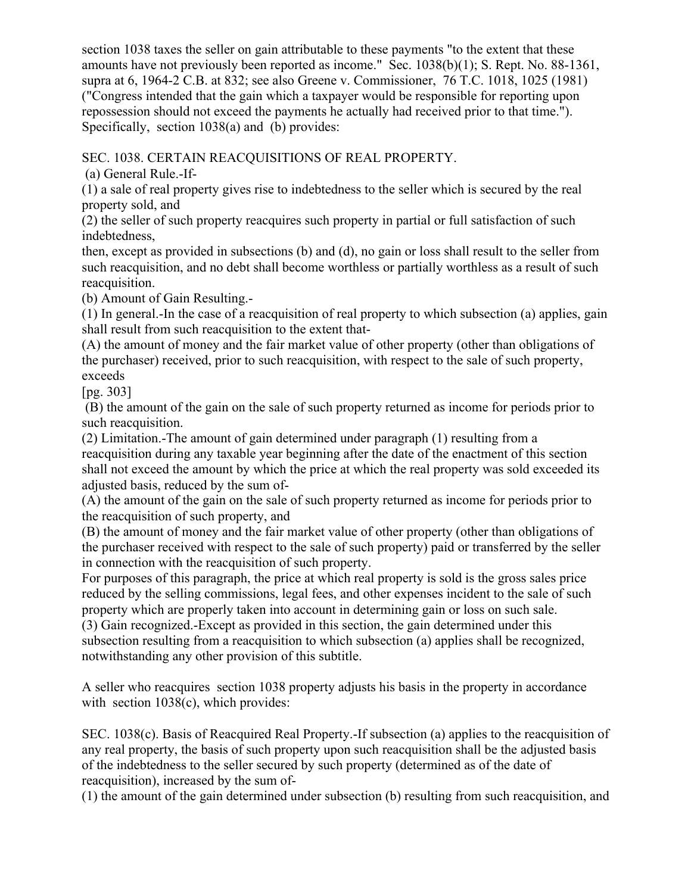section 1038 taxes the seller on gain attributable to these payments "to the extent that these amounts have not previously been reported as income." Sec. 1038(b)(1); S. Rept. No. 88-1361, supra at 6, 1964-2 C.B. at 832; see also Greene v. Commissioner, 76 T.C. 1018, 1025 (1981) ("Congress intended that the gain which a taxpayer would be responsible for reporting upon repossession should not exceed the payments he actually had received prior to that time."). Specifically, section 1038(a) and (b) provides:

SEC. 1038. CERTAIN REACQUISITIONS OF REAL PROPERTY.

(a) General Rule.-If-

(1) a sale of real property gives rise to indebtedness to the seller which is secured by the real property sold, and

(2) the seller of such property reacquires such property in partial or full satisfaction of such indebtedness,

then, except as provided in subsections (b) and (d), no gain or loss shall result to the seller from such reacquisition, and no debt shall become worthless or partially worthless as a result of such reacquisition.

(b) Amount of Gain Resulting.-

(1) In general.-In the case of a reacquisition of real property to which subsection (a) applies, gain shall result from such reacquisition to the extent that-

(A) the amount of money and the fair market value of other property (other than obligations of the purchaser) received, prior to such reacquisition, with respect to the sale of such property, exceeds

[pg. 303]

(B) the amount of the gain on the sale of such property returned as income for periods prior to such reacquisition.

(2) Limitation.-The amount of gain determined under paragraph (1) resulting from a reacquisition during any taxable year beginning after the date of the enactment of this section shall not exceed the amount by which the price at which the real property was sold exceeded its adjusted basis, reduced by the sum of-

(A) the amount of the gain on the sale of such property returned as income for periods prior to the reacquisition of such property, and

(B) the amount of money and the fair market value of other property (other than obligations of the purchaser received with respect to the sale of such property) paid or transferred by the seller in connection with the reacquisition of such property.

For purposes of this paragraph, the price at which real property is sold is the gross sales price reduced by the selling commissions, legal fees, and other expenses incident to the sale of such property which are properly taken into account in determining gain or loss on such sale.

(3) Gain recognized.-Except as provided in this section, the gain determined under this subsection resulting from a reacquisition to which subsection (a) applies shall be recognized, notwithstanding any other provision of this subtitle.

A seller who reacquires section 1038 property adjusts his basis in the property in accordance with section 1038(c), which provides:

SEC. 1038(c). Basis of Reacquired Real Property.-If subsection (a) applies to the reacquisition of any real property, the basis of such property upon such reacquisition shall be the adjusted basis of the indebtedness to the seller secured by such property (determined as of the date of reacquisition), increased by the sum of-

(1) the amount of the gain determined under subsection (b) resulting from such reacquisition, and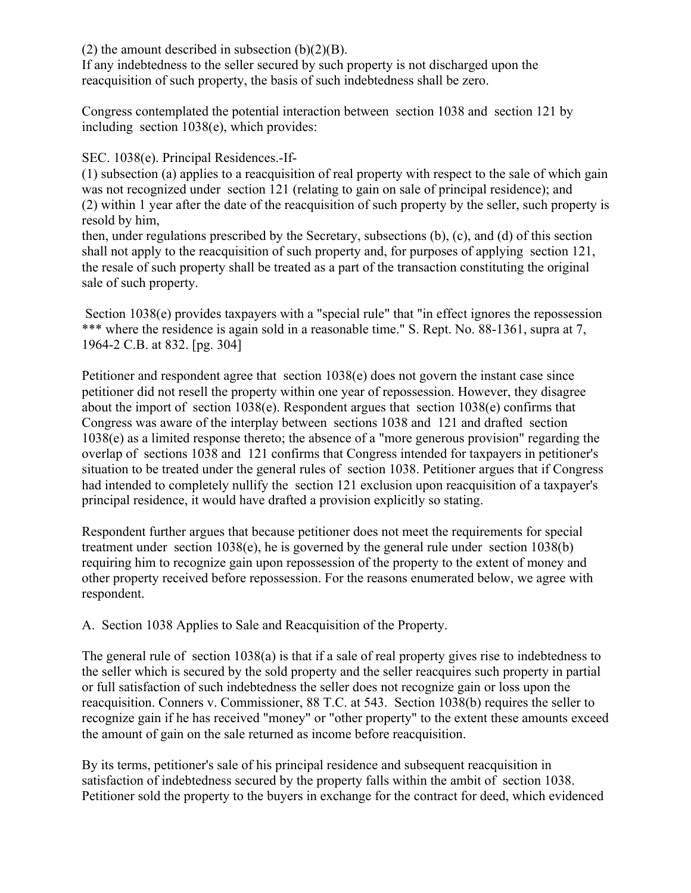(2) the amount described in subsection  $(b)(2)(B)$ .

If any indebtedness to the seller secured by such property is not discharged upon the reacquisition of such property, the basis of such indebtedness shall be zero.

Congress contemplated the potential interaction between section 1038 and section 121 by including section 1038(e), which provides:

SEC. 1038(e). Principal Residences.-If-

(1) subsection (a) applies to a reacquisition of real property with respect to the sale of which gain was not recognized under section 121 (relating to gain on sale of principal residence); and (2) within 1 year after the date of the reacquisition of such property by the seller, such property is resold by him,

then, under regulations prescribed by the Secretary, subsections (b), (c), and (d) of this section shall not apply to the reacquisition of such property and, for purposes of applying section 121, the resale of such property shall be treated as a part of the transaction constituting the original sale of such property.

Section 1038(e) provides taxpayers with a "special rule" that "in effect ignores the repossession \*\*\* where the residence is again sold in a reasonable time." S. Rept. No. 88-1361, supra at 7, 1964-2 C.B. at 832. [pg. 304]

Petitioner and respondent agree that section 1038(e) does not govern the instant case since petitioner did not resell the property within one year of repossession. However, they disagree about the import of section 1038(e). Respondent argues that section 1038(e) confirms that Congress was aware of the interplay between sections 1038 and 121 and drafted section 1038(e) as a limited response thereto; the absence of a "more generous provision" regarding the overlap of sections 1038 and 121 confirms that Congress intended for taxpayers in petitioner's situation to be treated under the general rules of section 1038. Petitioner argues that if Congress had intended to completely nullify the section 121 exclusion upon reacquisition of a taxpayer's principal residence, it would have drafted a provision explicitly so stating.

Respondent further argues that because petitioner does not meet the requirements for special treatment under section 1038(e), he is governed by the general rule under section 1038(b) requiring him to recognize gain upon repossession of the property to the extent of money and other property received before repossession. For the reasons enumerated below, we agree with respondent.

A. Section 1038 Applies to Sale and Reacquisition of the Property.

The general rule of section 1038(a) is that if a sale of real property gives rise to indebtedness to the seller which is secured by the sold property and the seller reacquires such property in partial or full satisfaction of such indebtedness the seller does not recognize gain or loss upon the reacquisition. Conners v. Commissioner, 88 T.C. at 543. Section 1038(b) requires the seller to recognize gain if he has received "money" or "other property" to the extent these amounts exceed the amount of gain on the sale returned as income before reacquisition.

By its terms, petitioner's sale of his principal residence and subsequent reacquisition in satisfaction of indebtedness secured by the property falls within the ambit of section 1038. Petitioner sold the property to the buyers in exchange for the contract for deed, which evidenced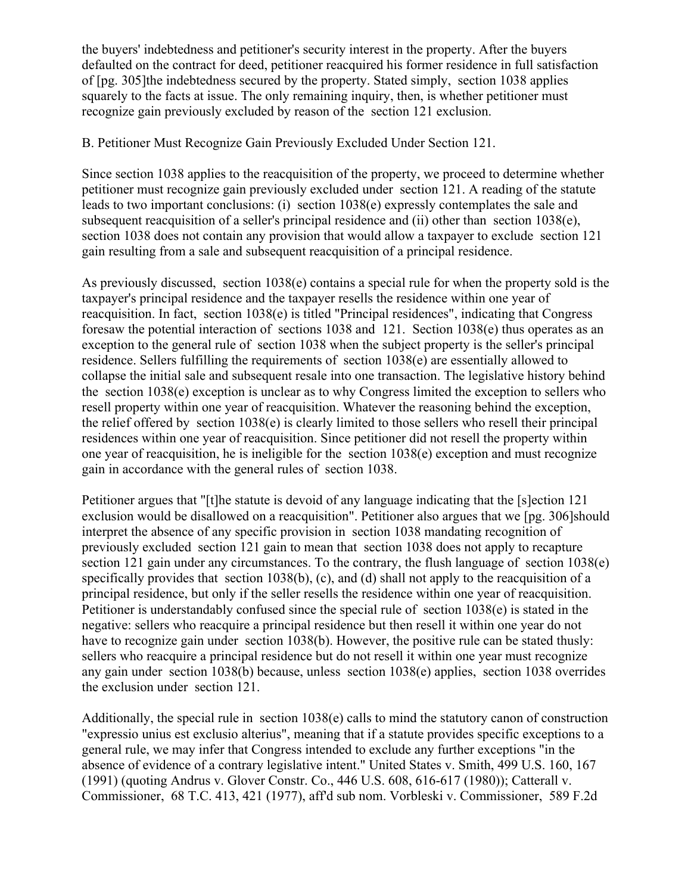the buyers' indebtedness and petitioner's security interest in the property. After the buyers defaulted on the contract for deed, petitioner reacquired his former residence in full satisfaction of [pg. 305]the indebtedness secured by the property. Stated simply, section 1038 applies squarely to the facts at issue. The only remaining inquiry, then, is whether petitioner must recognize gain previously excluded by reason of the section 121 exclusion.

## B. Petitioner Must Recognize Gain Previously Excluded Under Section 121.

Since section 1038 applies to the reacquisition of the property, we proceed to determine whether petitioner must recognize gain previously excluded under section 121. A reading of the statute leads to two important conclusions: (i) section 1038(e) expressly contemplates the sale and subsequent reacquisition of a seller's principal residence and (ii) other than section 1038(e), section 1038 does not contain any provision that would allow a taxpayer to exclude section 121 gain resulting from a sale and subsequent reacquisition of a principal residence.

As previously discussed, section 1038(e) contains a special rule for when the property sold is the taxpayer's principal residence and the taxpayer resells the residence within one year of reacquisition. In fact, section 1038(e) is titled "Principal residences", indicating that Congress foresaw the potential interaction of sections 1038 and 121. Section 1038(e) thus operates as an exception to the general rule of section 1038 when the subject property is the seller's principal residence. Sellers fulfilling the requirements of section 1038(e) are essentially allowed to collapse the initial sale and subsequent resale into one transaction. The legislative history behind the section 1038(e) exception is unclear as to why Congress limited the exception to sellers who resell property within one year of reacquisition. Whatever the reasoning behind the exception, the relief offered by section 1038(e) is clearly limited to those sellers who resell their principal residences within one year of reacquisition. Since petitioner did not resell the property within one year of reacquisition, he is ineligible for the section 1038(e) exception and must recognize gain in accordance with the general rules of section 1038.

Petitioner argues that "[t]he statute is devoid of any language indicating that the [s]ection 121 exclusion would be disallowed on a reacquisition". Petitioner also argues that we [pg. 306]should interpret the absence of any specific provision in section 1038 mandating recognition of previously excluded section 121 gain to mean that section 1038 does not apply to recapture section 121 gain under any circumstances. To the contrary, the flush language of section 1038(e) specifically provides that section 1038(b), (c), and (d) shall not apply to the reacquisition of a principal residence, but only if the seller resells the residence within one year of reacquisition. Petitioner is understandably confused since the special rule of section 1038(e) is stated in the negative: sellers who reacquire a principal residence but then resell it within one year do not have to recognize gain under section 1038(b). However, the positive rule can be stated thusly: sellers who reacquire a principal residence but do not resell it within one year must recognize any gain under section 1038(b) because, unless section 1038(e) applies, section 1038 overrides the exclusion under section 121.

Additionally, the special rule in section 1038(e) calls to mind the statutory canon of construction "expressio unius est exclusio alterius", meaning that if a statute provides specific exceptions to a general rule, we may infer that Congress intended to exclude any further exceptions "in the absence of evidence of a contrary legislative intent." United States v. Smith, 499 U.S. 160, 167 (1991) (quoting Andrus v. Glover Constr. Co., 446 U.S. 608, 616-617 (1980)); Catterall v. Commissioner, 68 T.C. 413, 421 (1977), aff'd sub nom. Vorbleski v. Commissioner, 589 F.2d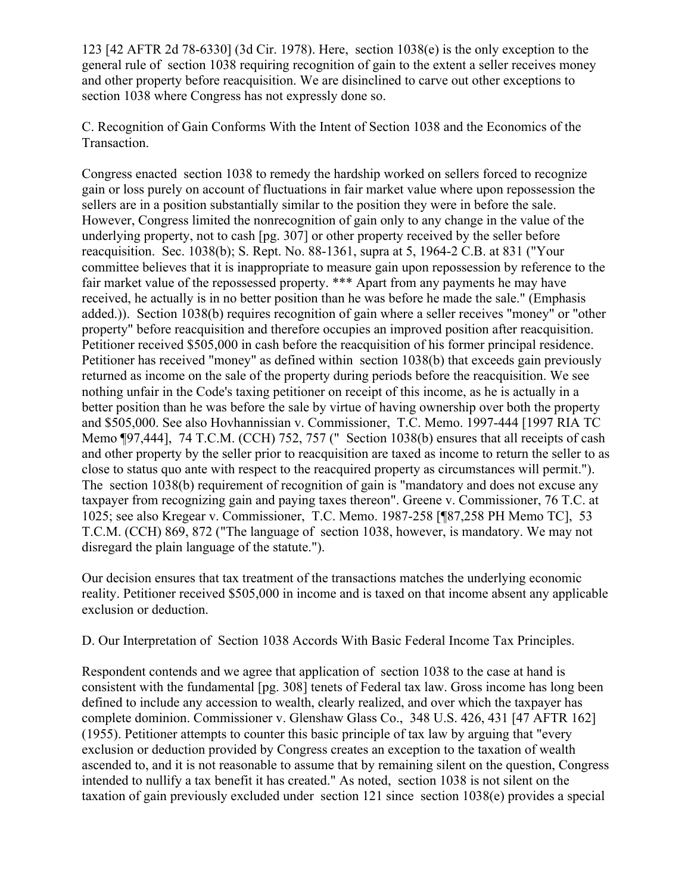123 [42 AFTR 2d 78-6330] (3d Cir. 1978). Here, section 1038(e) is the only exception to the general rule of section 1038 requiring recognition of gain to the extent a seller receives money and other property before reacquisition. We are disinclined to carve out other exceptions to section 1038 where Congress has not expressly done so.

C. Recognition of Gain Conforms With the Intent of Section 1038 and the Economics of the Transaction.

Congress enacted section 1038 to remedy the hardship worked on sellers forced to recognize gain or loss purely on account of fluctuations in fair market value where upon repossession the sellers are in a position substantially similar to the position they were in before the sale. However, Congress limited the nonrecognition of gain only to any change in the value of the underlying property, not to cash [pg. 307] or other property received by the seller before reacquisition. Sec. 1038(b); S. Rept. No. 88-1361, supra at 5, 1964-2 C.B. at 831 ("Your committee believes that it is inappropriate to measure gain upon repossession by reference to the fair market value of the repossessed property. \*\*\* Apart from any payments he may have received, he actually is in no better position than he was before he made the sale." (Emphasis added.)). Section 1038(b) requires recognition of gain where a seller receives "money" or "other property" before reacquisition and therefore occupies an improved position after reacquisition. Petitioner received \$505,000 in cash before the reacquisition of his former principal residence. Petitioner has received "money" as defined within section 1038(b) that exceeds gain previously returned as income on the sale of the property during periods before the reacquisition. We see nothing unfair in the Code's taxing petitioner on receipt of this income, as he is actually in a better position than he was before the sale by virtue of having ownership over both the property and \$505,000. See also Hovhannissian v. Commissioner, T.C. Memo. 1997-444 [1997 RIA TC Memo ¶97,444], 74 T.C.M. (CCH) 752, 757 (" Section 1038(b) ensures that all receipts of cash and other property by the seller prior to reacquisition are taxed as income to return the seller to as close to status quo ante with respect to the reacquired property as circumstances will permit."). The section 1038(b) requirement of recognition of gain is "mandatory and does not excuse any taxpayer from recognizing gain and paying taxes thereon". Greene v. Commissioner, 76 T.C. at 1025; see also Kregear v. Commissioner, T.C. Memo. 1987-258 [¶87,258 PH Memo TC], 53 T.C.M. (CCH) 869, 872 ("The language of section 1038, however, is mandatory. We may not disregard the plain language of the statute.").

Our decision ensures that tax treatment of the transactions matches the underlying economic reality. Petitioner received \$505,000 in income and is taxed on that income absent any applicable exclusion or deduction.

D. Our Interpretation of Section 1038 Accords With Basic Federal Income Tax Principles.

Respondent contends and we agree that application of section 1038 to the case at hand is consistent with the fundamental [pg. 308] tenets of Federal tax law. Gross income has long been defined to include any accession to wealth, clearly realized, and over which the taxpayer has complete dominion. Commissioner v. Glenshaw Glass Co., 348 U.S. 426, 431 [47 AFTR 162] (1955). Petitioner attempts to counter this basic principle of tax law by arguing that "every exclusion or deduction provided by Congress creates an exception to the taxation of wealth ascended to, and it is not reasonable to assume that by remaining silent on the question, Congress intended to nullify a tax benefit it has created." As noted, section 1038 is not silent on the taxation of gain previously excluded under section 121 since section 1038(e) provides a special